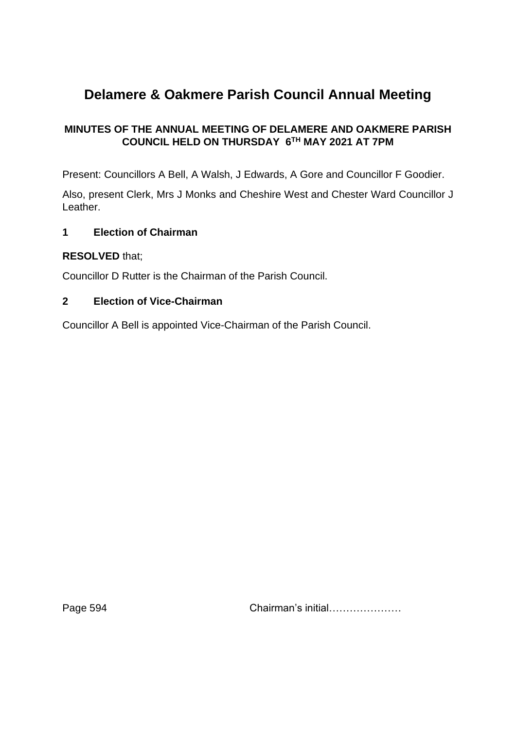# **Delamere & Oakmere Parish Council Annual Meeting**

# **MINUTES OF THE ANNUAL MEETING OF DELAMERE AND OAKMERE PARISH COUNCIL HELD ON THURSDAY 6TH MAY 2021 AT 7PM**

Present: Councillors A Bell, A Walsh, J Edwards, A Gore and Councillor F Goodier.

Also, present Clerk, Mrs J Monks and Cheshire West and Chester Ward Councillor J Leather.

## **1 Election of Chairman**

#### **RESOLVED** that;

Councillor D Rutter is the Chairman of the Parish Council.

#### **2 Election of Vice-Chairman**

Councillor A Bell is appointed Vice-Chairman of the Parish Council.

Page 594 **Chairman's initial………………**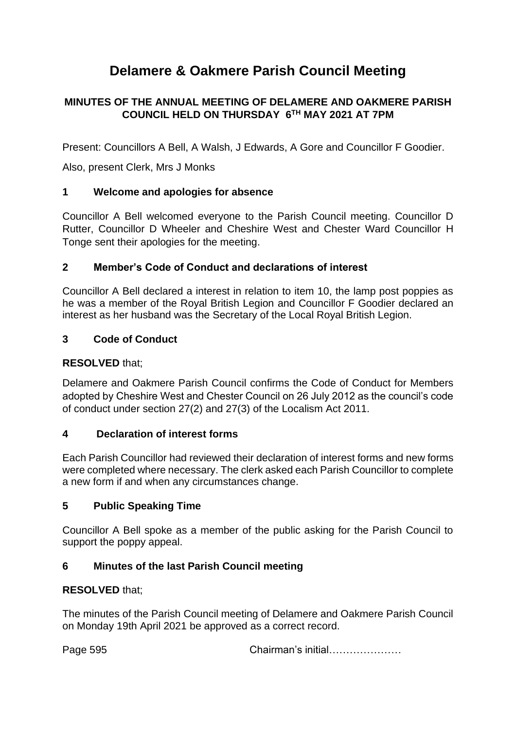# **Delamere & Oakmere Parish Council Meeting**

## **MINUTES OF THE ANNUAL MEETING OF DELAMERE AND OAKMERE PARISH COUNCIL HELD ON THURSDAY 6TH MAY 2021 AT 7PM**

Present: Councillors A Bell, A Walsh, J Edwards, A Gore and Councillor F Goodier.

Also, present Clerk, Mrs J Monks

#### **1 Welcome and apologies for absence**

Councillor A Bell welcomed everyone to the Parish Council meeting. Councillor D Rutter, Councillor D Wheeler and Cheshire West and Chester Ward Councillor H Tonge sent their apologies for the meeting.

#### **2 Member's Code of Conduct and declarations of interest**

Councillor A Bell declared a interest in relation to item 10, the lamp post poppies as he was a member of the Royal British Legion and Councillor F Goodier declared an interest as her husband was the Secretary of the Local Royal British Legion.

#### **3 Code of Conduct**

#### **RESOLVED** that;

Delamere and Oakmere Parish Council confirms the Code of Conduct for Members adopted by Cheshire West and Chester Council on 26 July 2012 as the council's code of conduct under section 27(2) and 27(3) of the Localism Act 2011.

#### **4 Declaration of interest forms**

Each Parish Councillor had reviewed their declaration of interest forms and new forms were completed where necessary. The clerk asked each Parish Councillor to complete a new form if and when any circumstances change.

#### **5 Public Speaking Time**

Councillor A Bell spoke as a member of the public asking for the Parish Council to support the poppy appeal.

## **6 Minutes of the last Parish Council meeting**

## **RESOLVED** that;

The minutes of the Parish Council meeting of Delamere and Oakmere Parish Council on Monday 19th April 2021 be approved as a correct record.

Page 595 **Chairman's initial………………**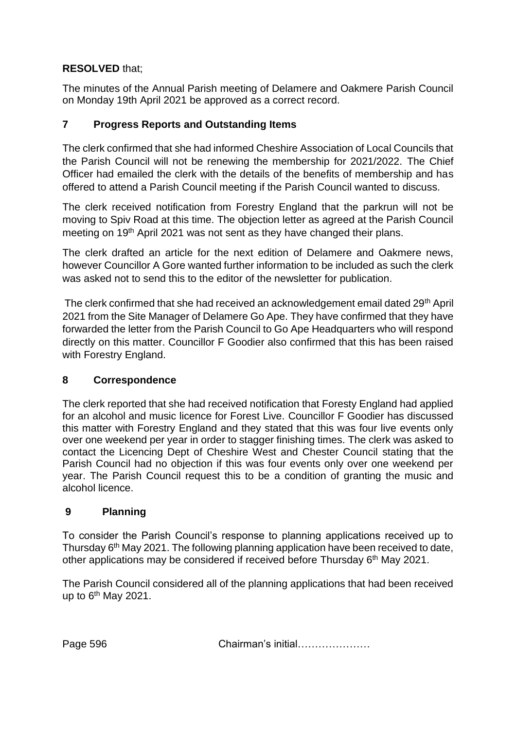The minutes of the Annual Parish meeting of Delamere and Oakmere Parish Council on Monday 19th April 2021 be approved as a correct record.

## **7 Progress Reports and Outstanding Items**

The clerk confirmed that she had informed Cheshire Association of Local Councils that the Parish Council will not be renewing the membership for 2021/2022. The Chief Officer had emailed the clerk with the details of the benefits of membership and has offered to attend a Parish Council meeting if the Parish Council wanted to discuss.

The clerk received notification from Forestry England that the parkrun will not be moving to Spiv Road at this time. The objection letter as agreed at the Parish Council meeting on 19<sup>th</sup> April 2021 was not sent as they have changed their plans.

The clerk drafted an article for the next edition of Delamere and Oakmere news, however Councillor A Gore wanted further information to be included as such the clerk was asked not to send this to the editor of the newsletter for publication.

The clerk confirmed that she had received an acknowledgement email dated 29th April 2021 from the Site Manager of Delamere Go Ape. They have confirmed that they have forwarded the letter from the Parish Council to Go Ape Headquarters who will respond directly on this matter. Councillor F Goodier also confirmed that this has been raised with Forestry England.

## **8 Correspondence**

The clerk reported that she had received notification that Foresty England had applied for an alcohol and music licence for Forest Live. Councillor F Goodier has discussed this matter with Forestry England and they stated that this was four live events only over one weekend per year in order to stagger finishing times. The clerk was asked to contact the Licencing Dept of Cheshire West and Chester Council stating that the Parish Council had no objection if this was four events only over one weekend per year. The Parish Council request this to be a condition of granting the music and alcohol licence.

## **9 Planning**

To consider the Parish Council's response to planning applications received up to Thursday 6<sup>th</sup> May 2021. The following planning application have been received to date, other applications may be considered if received before Thursday 6<sup>th</sup> May 2021.

The Parish Council considered all of the planning applications that had been received up to  $6<sup>th</sup>$  May 2021.

Page 596 **Chairman's initial………………**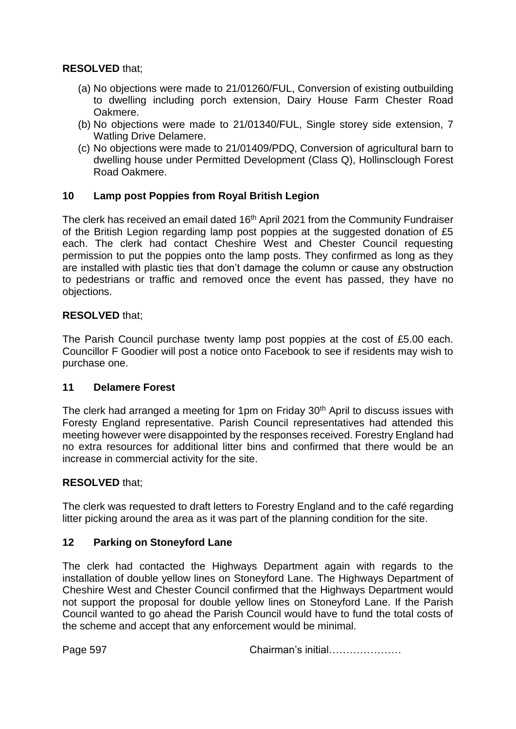- (a) No objections were made to 21/01260/FUL, Conversion of existing outbuilding to dwelling including porch extension, Dairy House Farm Chester Road Oakmere.
- (b) No objections were made to 21/01340/FUL, Single storey side extension, 7 Watling Drive Delamere.
- (c) No objections were made to 21/01409/PDQ, Conversion of agricultural barn to dwelling house under Permitted Development (Class Q), Hollinsclough Forest Road Oakmere.

#### **10 Lamp post Poppies from Royal British Legion**

The clerk has received an email dated 16<sup>th</sup> April 2021 from the Community Fundraiser of the British Legion regarding lamp post poppies at the suggested donation of £5 each. The clerk had contact Cheshire West and Chester Council requesting permission to put the poppies onto the lamp posts. They confirmed as long as they are installed with plastic ties that don't damage the column or cause any obstruction to pedestrians or traffic and removed once the event has passed, they have no objections.

#### **RESOLVED** that;

The Parish Council purchase twenty lamp post poppies at the cost of £5.00 each. Councillor F Goodier will post a notice onto Facebook to see if residents may wish to purchase one.

#### **11 Delamere Forest**

The clerk had arranged a meeting for 1pm on Friday 30<sup>th</sup> April to discuss issues with Foresty England representative. Parish Council representatives had attended this meeting however were disappointed by the responses received. Forestry England had no extra resources for additional litter bins and confirmed that there would be an increase in commercial activity for the site.

#### **RESOLVED** that;

The clerk was requested to draft letters to Forestry England and to the café regarding litter picking around the area as it was part of the planning condition for the site.

#### **12 Parking on Stoneyford Lane**

The clerk had contacted the Highways Department again with regards to the installation of double yellow lines on Stoneyford Lane. The Highways Department of Cheshire West and Chester Council confirmed that the Highways Department would not support the proposal for double yellow lines on Stoneyford Lane. If the Parish Council wanted to go ahead the Parish Council would have to fund the total costs of the scheme and accept that any enforcement would be minimal.

Page 597 Chairman's initial…………………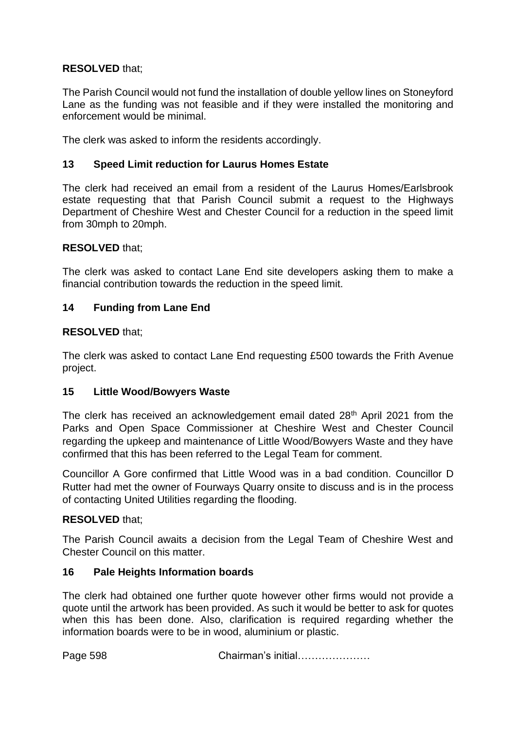The Parish Council would not fund the installation of double yellow lines on Stoneyford Lane as the funding was not feasible and if they were installed the monitoring and enforcement would be minimal.

The clerk was asked to inform the residents accordingly.

## **13 Speed Limit reduction for Laurus Homes Estate**

The clerk had received an email from a resident of the Laurus Homes/Earlsbrook estate requesting that that Parish Council submit a request to the Highways Department of Cheshire West and Chester Council for a reduction in the speed limit from 30mph to 20mph.

#### **RESOLVED** that;

The clerk was asked to contact Lane End site developers asking them to make a financial contribution towards the reduction in the speed limit.

#### **14 Funding from Lane End**

#### **RESOLVED** that;

The clerk was asked to contact Lane End requesting £500 towards the Frith Avenue project.

#### **15 Little Wood/Bowyers Waste**

The clerk has received an acknowledgement email dated 28<sup>th</sup> April 2021 from the Parks and Open Space Commissioner at Cheshire West and Chester Council regarding the upkeep and maintenance of Little Wood/Bowyers Waste and they have confirmed that this has been referred to the Legal Team for comment.

Councillor A Gore confirmed that Little Wood was in a bad condition. Councillor D Rutter had met the owner of Fourways Quarry onsite to discuss and is in the process of contacting United Utilities regarding the flooding.

#### **RESOLVED** that;

The Parish Council awaits a decision from the Legal Team of Cheshire West and Chester Council on this matter.

#### **16 Pale Heights Information boards**

The clerk had obtained one further quote however other firms would not provide a quote until the artwork has been provided. As such it would be better to ask for quotes when this has been done. Also, clarification is required regarding whether the information boards were to be in wood, aluminium or plastic.

Page 598 Chairman's initial…………………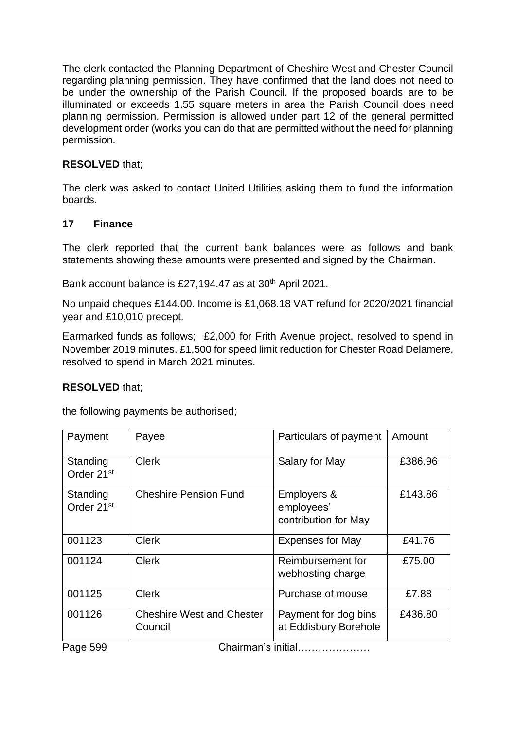The clerk contacted the Planning Department of Cheshire West and Chester Council regarding planning permission. They have confirmed that the land does not need to be under the ownership of the Parish Council. If the proposed boards are to be illuminated or exceeds 1.55 square meters in area the Parish Council does need planning permission. Permission is allowed under part 12 of the general permitted development order (works you can do that are permitted without the need for planning permission.

## **RESOLVED** that;

The clerk was asked to contact United Utilities asking them to fund the information boards.

#### **17 Finance**

The clerk reported that the current bank balances were as follows and bank statements showing these amounts were presented and signed by the Chairman.

Bank account balance is £27,194.47 as at 30<sup>th</sup> April 2021.

No unpaid cheques £144.00. Income is £1,068.18 VAT refund for 2020/2021 financial year and £10,010 precept.

Earmarked funds as follows; £2,000 for Frith Avenue project, resolved to spend in November 2019 minutes. £1,500 for speed limit reduction for Chester Road Delamere, resolved to spend in March 2021 minutes.

## **RESOLVED** that;

the following payments be authorised;

| Payment                            | Payee                                       | Particulars of payment                            | Amount  |
|------------------------------------|---------------------------------------------|---------------------------------------------------|---------|
| Standing<br>Order 21 <sup>st</sup> | <b>Clerk</b>                                | Salary for May                                    | £386.96 |
| Standing<br>Order 21 <sup>st</sup> | <b>Cheshire Pension Fund</b>                | Employers &<br>employees'<br>contribution for May | £143.86 |
| 001123                             | <b>Clerk</b>                                | <b>Expenses for May</b>                           | £41.76  |
| 001124                             | <b>Clerk</b>                                | Reimbursement for<br>webhosting charge            | £75.00  |
| 001125                             | <b>Clerk</b>                                | Purchase of mouse                                 | £7.88   |
| 001126                             | <b>Cheshire West and Chester</b><br>Council | Payment for dog bins<br>at Eddisbury Borehole     | £436.80 |

Page 599 **Chairman's initial…………………**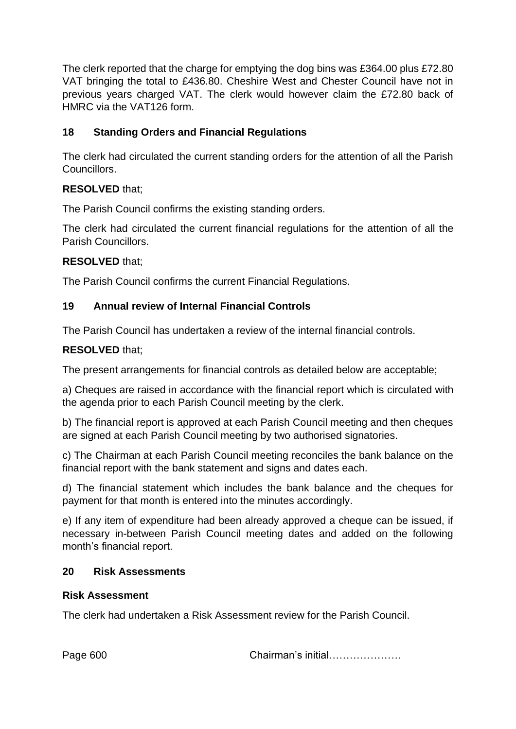The clerk reported that the charge for emptying the dog bins was £364.00 plus £72.80 VAT bringing the total to £436.80. Cheshire West and Chester Council have not in previous years charged VAT. The clerk would however claim the £72.80 back of HMRC via the VAT126 form.

# **18 Standing Orders and Financial Regulations**

The clerk had circulated the current standing orders for the attention of all the Parish Councillors.

# **RESOLVED** that;

The Parish Council confirms the existing standing orders.

The clerk had circulated the current financial regulations for the attention of all the Parish Councillors.

# **RESOLVED** that;

The Parish Council confirms the current Financial Regulations.

# **19 Annual review of Internal Financial Controls**

The Parish Council has undertaken a review of the internal financial controls.

# **RESOLVED** that;

The present arrangements for financial controls as detailed below are acceptable;

a) Cheques are raised in accordance with the financial report which is circulated with the agenda prior to each Parish Council meeting by the clerk.

b) The financial report is approved at each Parish Council meeting and then cheques are signed at each Parish Council meeting by two authorised signatories.

c) The Chairman at each Parish Council meeting reconciles the bank balance on the financial report with the bank statement and signs and dates each.

d) The financial statement which includes the bank balance and the cheques for payment for that month is entered into the minutes accordingly.

e) If any item of expenditure had been already approved a cheque can be issued, if necessary in-between Parish Council meeting dates and added on the following month's financial report.

## **20 Risk Assessments**

## **Risk Assessment**

The clerk had undertaken a Risk Assessment review for the Parish Council.

Page 600 Chairman's initial…………………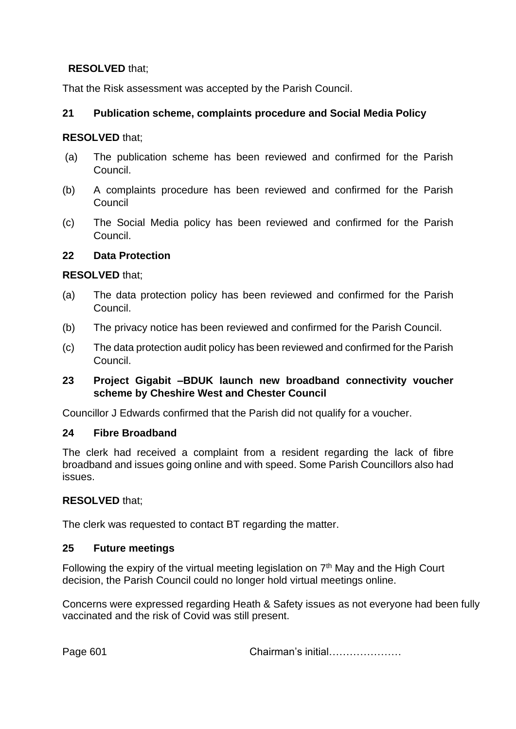That the Risk assessment was accepted by the Parish Council.

## **21 Publication scheme, complaints procedure and Social Media Policy**

#### **RESOLVED** that;

- (a) The publication scheme has been reviewed and confirmed for the Parish Council.
- (b) A complaints procedure has been reviewed and confirmed for the Parish Council
- (c) The Social Media policy has been reviewed and confirmed for the Parish Council.

#### **22 Data Protection**

#### **RESOLVED** that;

- (a) The data protection policy has been reviewed and confirmed for the Parish Council.
- (b) The privacy notice has been reviewed and confirmed for the Parish Council.
- (c) The data protection audit policy has been reviewed and confirmed for the Parish Council.

#### **23 Project Gigabit –BDUK launch new broadband connectivity voucher scheme by Cheshire West and Chester Council**

Councillor J Edwards confirmed that the Parish did not qualify for a voucher.

#### **24 Fibre Broadband**

The clerk had received a complaint from a resident regarding the lack of fibre broadband and issues going online and with speed. Some Parish Councillors also had issues.

#### **RESOLVED** that;

The clerk was requested to contact BT regarding the matter.

#### **25 Future meetings**

Following the expiry of the virtual meeting legislation on  $7<sup>th</sup>$  May and the High Court decision, the Parish Council could no longer hold virtual meetings online.

Concerns were expressed regarding Heath & Safety issues as not everyone had been fully vaccinated and the risk of Covid was still present.

Page 601 Chairman's initial…………………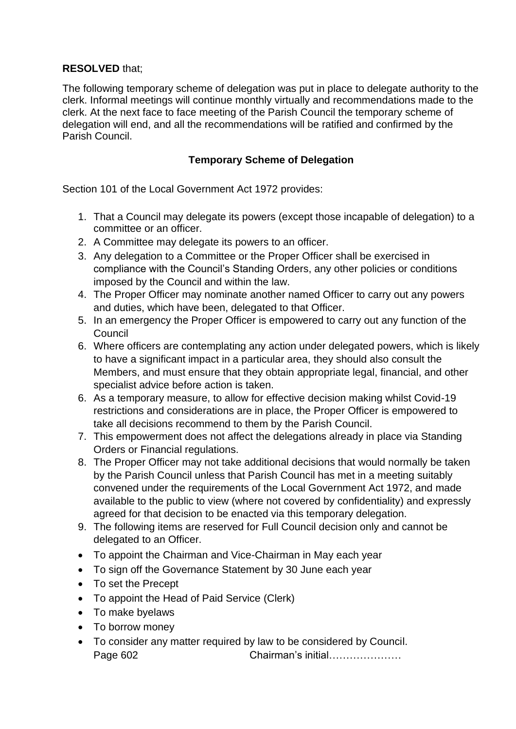The following temporary scheme of delegation was put in place to delegate authority to the clerk. Informal meetings will continue monthly virtually and recommendations made to the clerk. At the next face to face meeting of the Parish Council the temporary scheme of delegation will end, and all the recommendations will be ratified and confirmed by the Parish Council.

## **Temporary Scheme of Delegation**

Section 101 of the Local Government Act 1972 provides:

- 1. That a Council may delegate its powers (except those incapable of delegation) to a committee or an officer.
- 2. A Committee may delegate its powers to an officer.
- 3. Any delegation to a Committee or the Proper Officer shall be exercised in compliance with the Council's Standing Orders, any other policies or conditions imposed by the Council and within the law.
- 4. The Proper Officer may nominate another named Officer to carry out any powers and duties, which have been, delegated to that Officer.
- 5. In an emergency the Proper Officer is empowered to carry out any function of the Council
- 6. Where officers are contemplating any action under delegated powers, which is likely to have a significant impact in a particular area, they should also consult the Members, and must ensure that they obtain appropriate legal, financial, and other specialist advice before action is taken.
- 6. As a temporary measure, to allow for effective decision making whilst Covid-19 restrictions and considerations are in place, the Proper Officer is empowered to take all decisions recommend to them by the Parish Council.
- 7. This empowerment does not affect the delegations already in place via Standing Orders or Financial regulations.
- 8. The Proper Officer may not take additional decisions that would normally be taken by the Parish Council unless that Parish Council has met in a meeting suitably convened under the requirements of the Local Government Act 1972, and made available to the public to view (where not covered by confidentiality) and expressly agreed for that decision to be enacted via this temporary delegation.
- 9. The following items are reserved for Full Council decision only and cannot be delegated to an Officer.
- To appoint the Chairman and Vice-Chairman in May each year
- To sign off the Governance Statement by 30 June each year
- To set the Precept
- To appoint the Head of Paid Service (Clerk)
- To make byelaws
- To borrow money
- To consider any matter required by law to be considered by Council. Page 602 Chairman's initial…………………